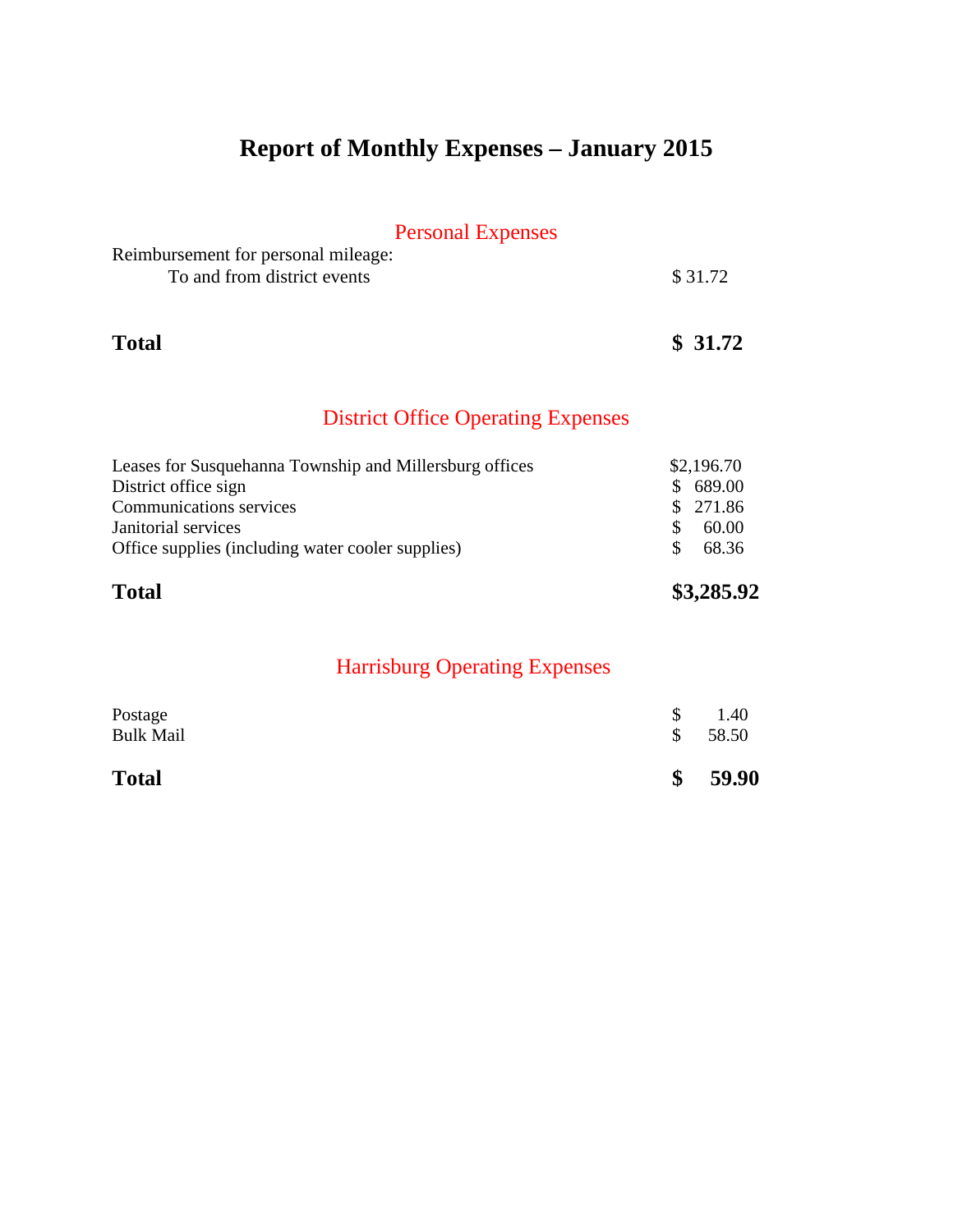# **Report of Monthly Expenses – January 2015**

## Personal Expenses

| Reimbursement for personal mileage: |         |
|-------------------------------------|---------|
| To and from district events         | \$31.72 |
|                                     |         |

### **Total \$ 31.72**

## District Office Operating Expenses

| <b>Total</b>                                            | \$3,285.92 |
|---------------------------------------------------------|------------|
| Office supplies (including water cooler supplies)       | 68.36      |
| Janitorial services                                     | 60.00      |
| <b>Communications services</b>                          | \$271.86   |
| District office sign                                    | \$689.00   |
| Leases for Susquehanna Township and Millersburg offices | \$2,196.70 |
|                                                         |            |

| Postage          | <sup>S</sup> | 1.40  |
|------------------|--------------|-------|
| <b>Bulk Mail</b> | S.           | 58.50 |
| <b>Total</b>     | \$           | 59.90 |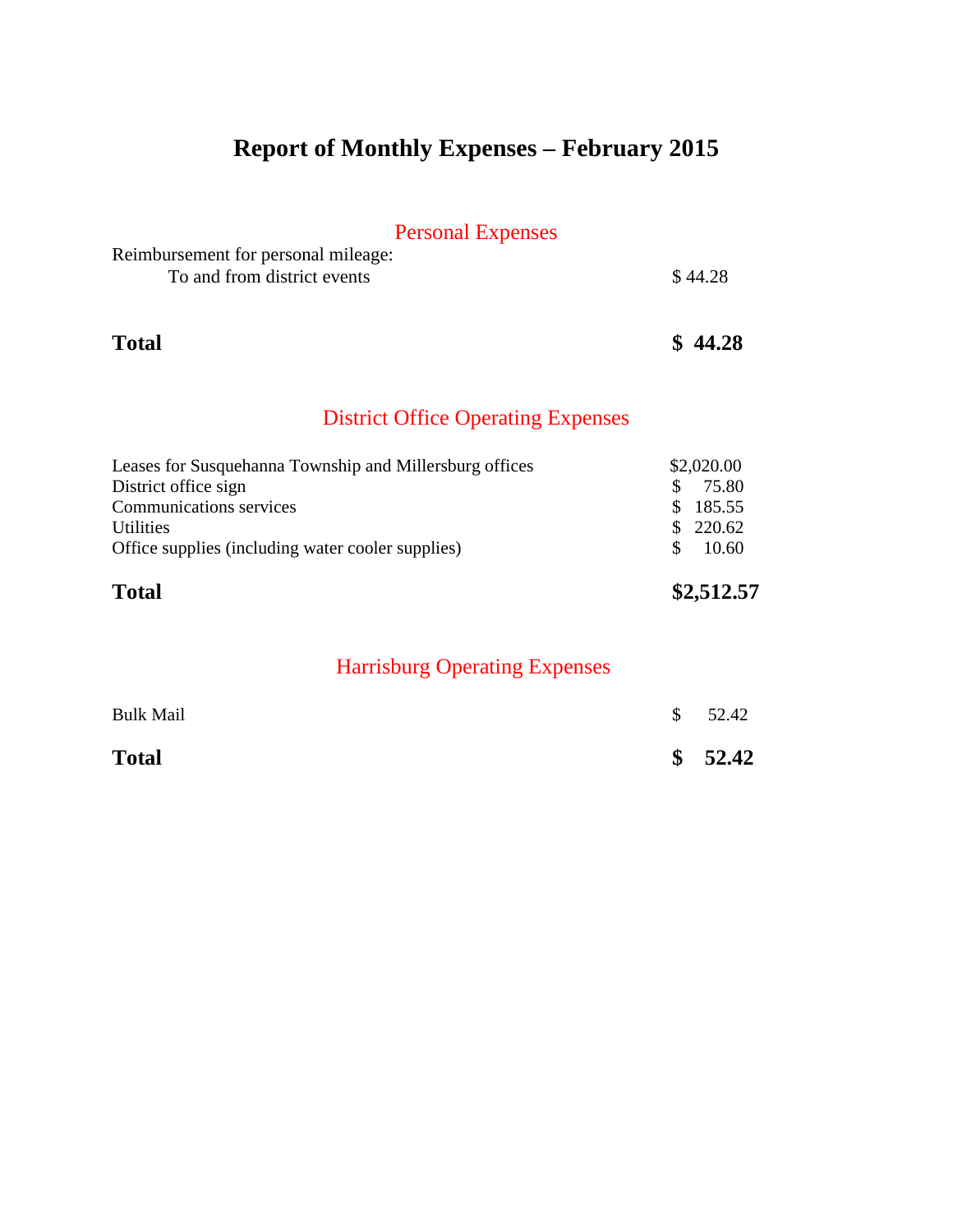# **Report of Monthly Expenses – February 2015**

## Personal Expenses

| Reimbursement for personal mileage: |         |
|-------------------------------------|---------|
| To and from district events         | \$44.28 |

### **Total \$ 44.28**

## District Office Operating Expenses

| <b>Total</b>                                            | \$2,512.57 |
|---------------------------------------------------------|------------|
| Office supplies (including water cooler supplies)       | 10.60      |
| <b>Utilities</b>                                        | \$220.62   |
| <b>Communications services</b>                          | \$185.55   |
| District office sign                                    | 75.80      |
| Leases for Susquehanna Township and Millersburg offices | \$2,020.00 |

| <b>Total</b>     | \$52.42 |
|------------------|---------|
| <b>Bulk Mail</b> | \$52.42 |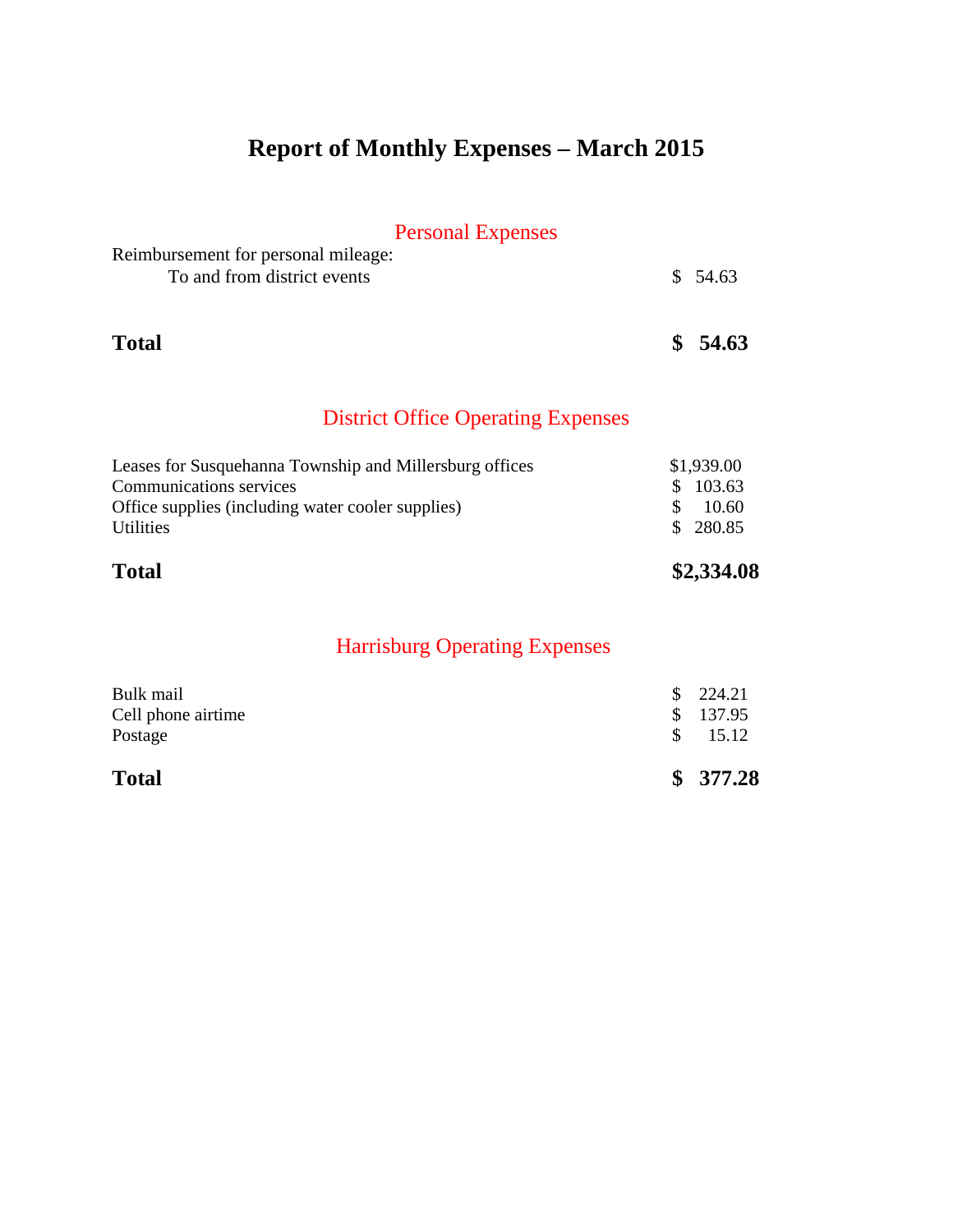# **Report of Monthly Expenses – March 2015**

## Personal Expenses

| Reimbursement for personal mileage: |          |
|-------------------------------------|----------|
| To and from district events         | \$ 54.63 |
|                                     |          |
|                                     |          |

**Total \$ 54.63**

### District Office Operating Expenses

| <b>Total</b>                                            | \$2,334.08 |
|---------------------------------------------------------|------------|
| <b>Utilities</b>                                        | \$280.85   |
| Office supplies (including water cooler supplies)       | 10.60      |
| <b>Communications services</b>                          | \$103.63   |
| Leases for Susquehanna Township and Millersburg offices | \$1,939.00 |

|     | \$377.28 |
|-----|----------|
| SS. | 15.12    |
|     | \$137.95 |
|     | \$224.21 |
|     |          |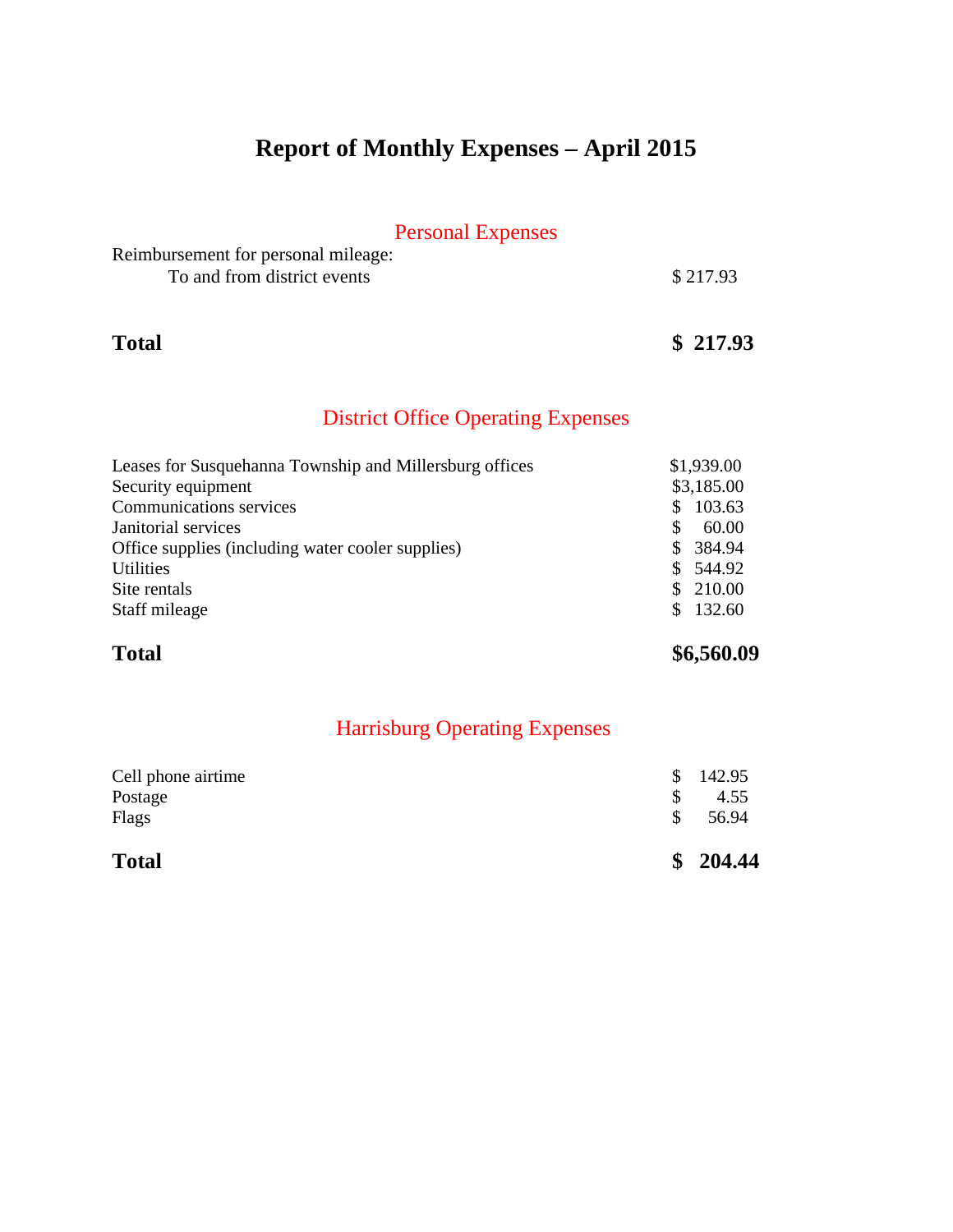# **Report of Monthly Expenses – April 2015**

## Personal Expenses

| Reimbursement for personal mileage: |          |
|-------------------------------------|----------|
| To and from district events         | \$217.93 |

### **Total \$ 217.93**

### District Office Operating Expenses

| Leases for Susquehanna Township and Millersburg offices | \$1,939.00    |
|---------------------------------------------------------|---------------|
| Security equipment                                      | \$3,185.00    |
| <b>Communications services</b>                          | 103.63<br>S.  |
| Janitorial services                                     | 60.00         |
| Office supplies (including water cooler supplies)       | 384.94<br>SS. |
| <b>Utilities</b>                                        | \$544.92      |
| Site rentals                                            | \$210.00      |
| Staff mileage                                           | \$132.60      |

## **Total \$6,560.09**

| <b>Total</b>       |    | \$204.44 |
|--------------------|----|----------|
| Flags              | S. | 56.94    |
| Postage            |    | 4.55     |
| Cell phone airtime | S. | 142.95   |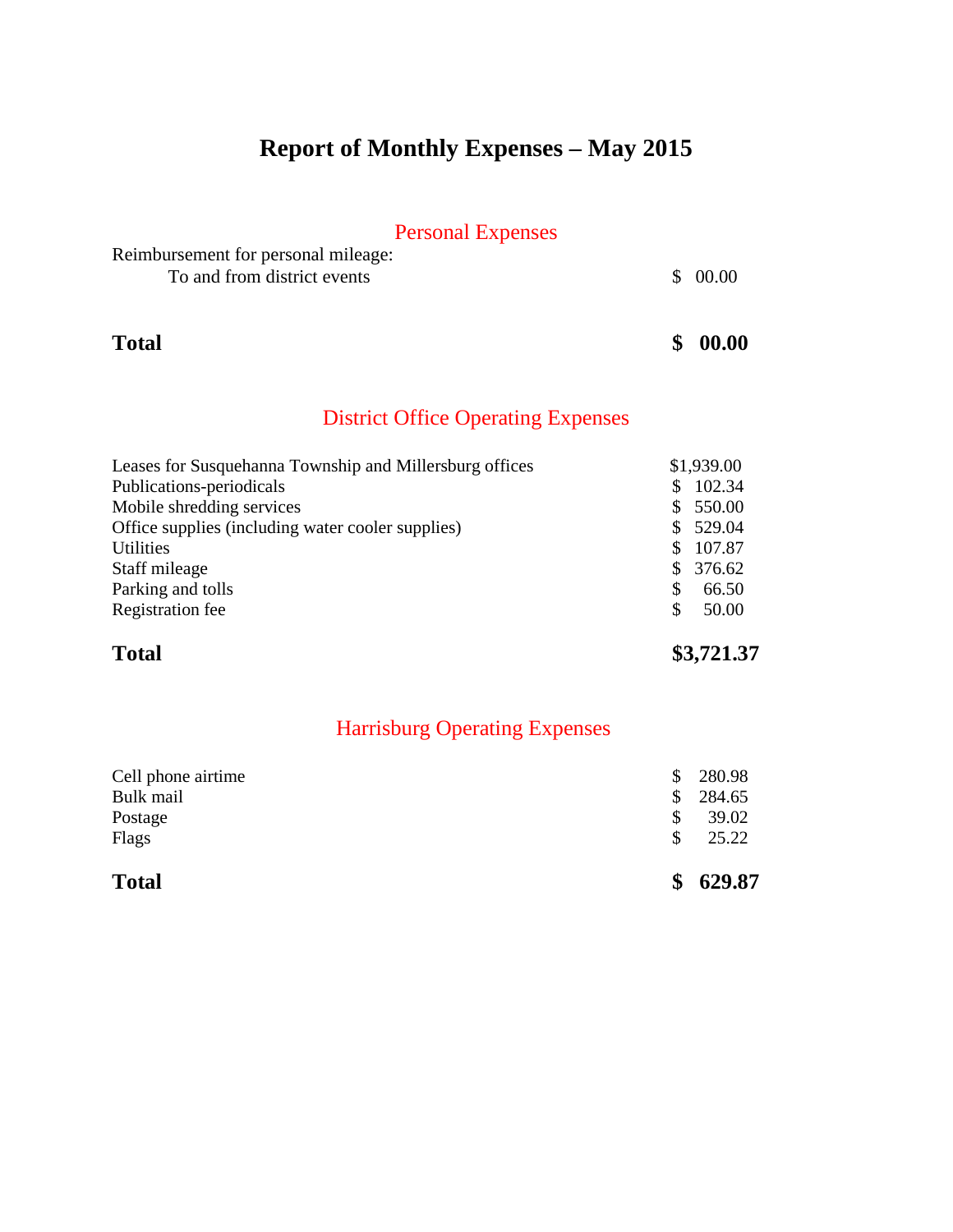# **Report of Monthly Expenses – May 2015**

## Personal Expenses

| Reimbursement for personal mileage: |         |
|-------------------------------------|---------|
| To and from district events         | \$00.00 |

## **Total \$ 00.00**

### District Office Operating Expenses

| Leases for Susquehanna Township and Millersburg offices | \$1,939.00    |
|---------------------------------------------------------|---------------|
| Publications-periodicals                                | 102.34<br>\$. |
| Mobile shredding services                               | 550.00<br>S.  |
| Office supplies (including water cooler supplies)       | 529.04<br>S.  |
| <b>Utilities</b>                                        | 107.87<br>S.  |
| Staff mileage                                           | 376.62<br>S.  |
| Parking and tolls                                       | 66.50<br>S    |
| Registration fee                                        | 50.00<br>S    |
|                                                         |               |

## **Total \$3,721.37**

| <b>Total</b>       | 629.87 |
|--------------------|--------|
| Flags              | 25.22  |
| Postage            | 39.02  |
| Bulk mail          | 284.65 |
| Cell phone airtime | 280.98 |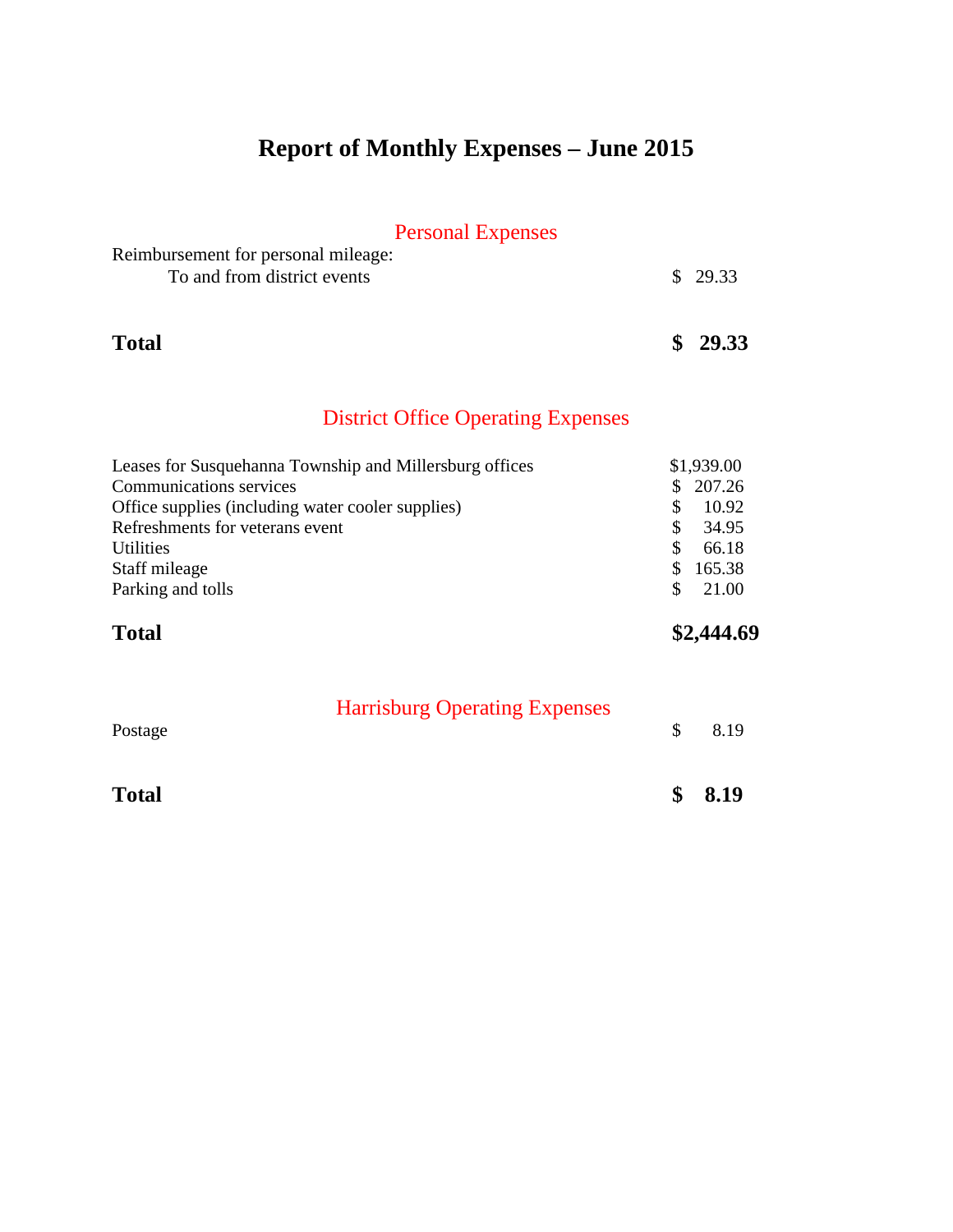# **Report of Monthly Expenses – June 2015**

## Personal Expenses

| Reimbursement for personal mileage: |         |
|-------------------------------------|---------|
| To and from district events         | \$29.33 |
|                                     |         |

## **Total \$ 29.33**

## District Office Operating Expenses

| Office supplies (including water cooler supplies)<br>Refreshments for veterans event<br><b>Utilities</b> | 34.95<br>S<br>66.18        |
|----------------------------------------------------------------------------------------------------------|----------------------------|
| Staff mileage<br>Parking and tolls                                                                       | 165.38<br>S.<br>21.00<br>S |
| <b>Total</b>                                                                                             | \$2,444.69                 |

| Postage      | <b>Harrisburg Operating Expenses</b> |             | 8.19 |
|--------------|--------------------------------------|-------------|------|
| <b>Total</b> |                                      | $\mathbf S$ | 8.19 |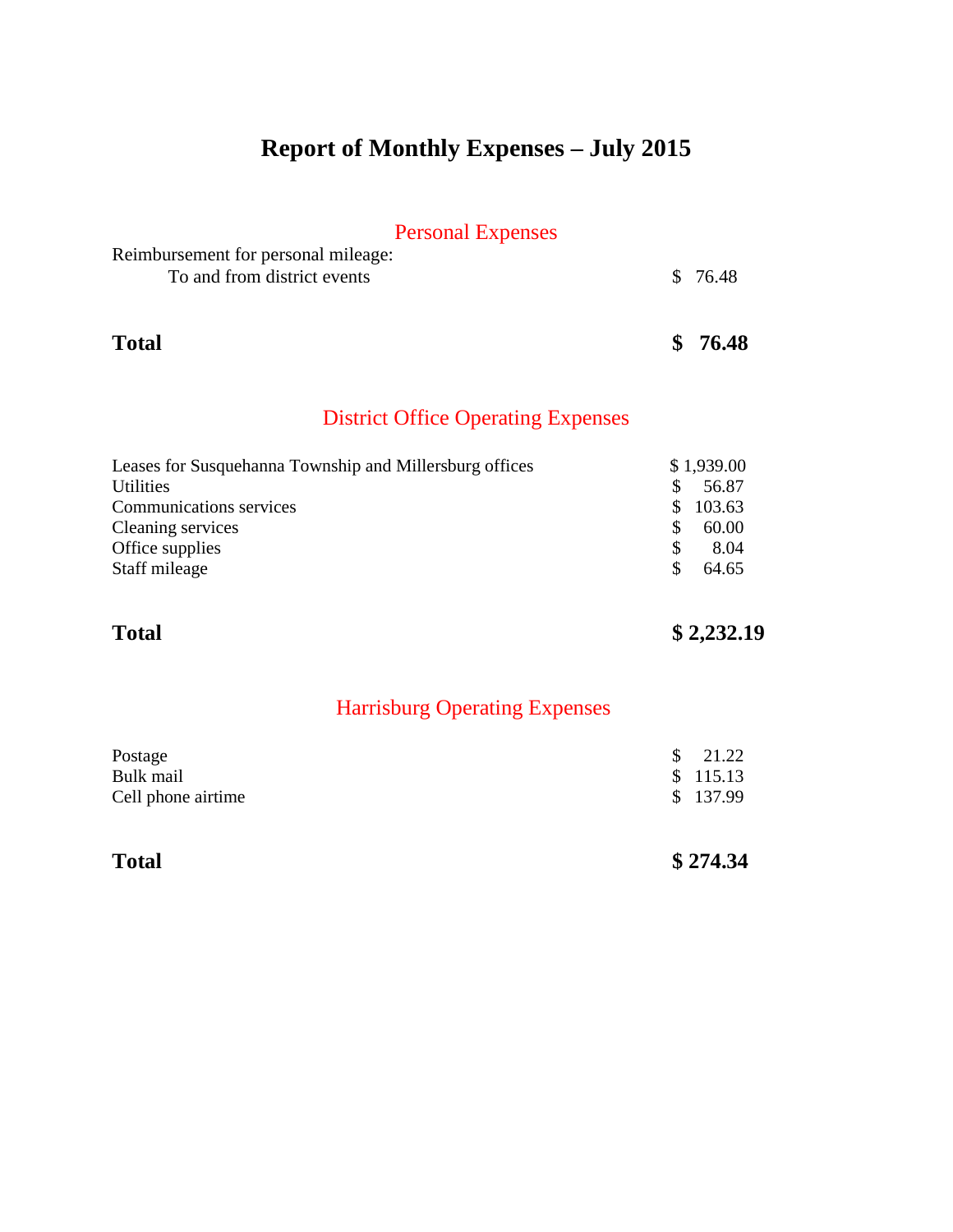# **Report of Monthly Expenses – July 2015**

### Personal Expenses

| Reimbursement for personal mileage: |          |
|-------------------------------------|----------|
| To and from district events         | \$ 76.48 |
|                                     |          |

### **Total \$ 76.48**

### District Office Operating Expenses

| Leases for Susquehanna Township and Millersburg offices |     | \$1,939.00 |
|---------------------------------------------------------|-----|------------|
| <b>Utilities</b>                                        |     | 56.87      |
| <b>Communications services</b>                          | SS. | 103.63     |
| Cleaning services                                       |     | 60.00      |
| Office supplies                                         |     | 8.04       |
| Staff mileage                                           |     | 64.65      |

## **Total \$ 2,232.19**

| Postage            | $\frac{1}{21.22}$ |
|--------------------|-------------------|
| Bulk mail          | \$115.13          |
| Cell phone airtime | \$137.99          |

| <b>Total</b> | \$274.34 |
|--------------|----------|
|--------------|----------|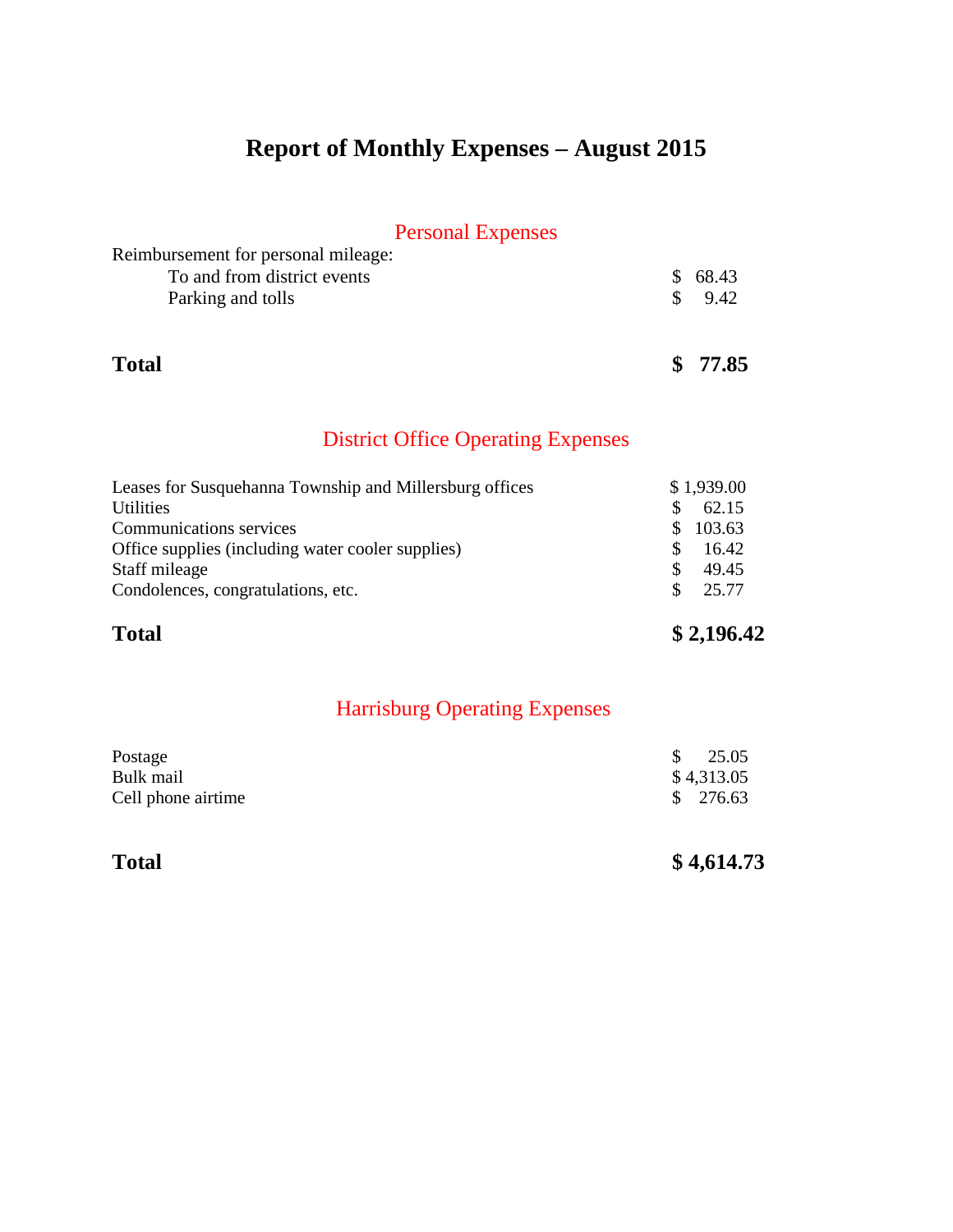## **Report of Monthly Expenses – August 2015**

### Personal Expenses

| I Cround Lapenses                   |         |
|-------------------------------------|---------|
| Reimbursement for personal mileage: |         |
| To and from district events         | \$68.43 |
| Parking and tolls                   | 9.42    |
|                                     |         |
|                                     |         |

**Total \$ 77.85**

## District Office Operating Expenses

| <b>Total</b>                                            | \$2,196.42   |
|---------------------------------------------------------|--------------|
| Condolences, congratulations, etc.                      | 25.77<br>S.  |
| Staff mileage                                           | 49.45<br>S.  |
| Office supplies (including water cooler supplies)       | 16.42<br>S   |
| Communications services                                 | 103.63<br>S. |
| <b>Utilities</b>                                        | 62.15<br>S.  |
| Leases for Susquehanna Township and Millersburg offices | \$1,939.00   |

### Harrisburg Operating Expenses

| Postage            | $\frac{\$}{25.05}$ |
|--------------------|--------------------|
| Bulk mail          | \$4,313.05         |
| Cell phone airtime | \$276.63           |

Total \$ 4,614.73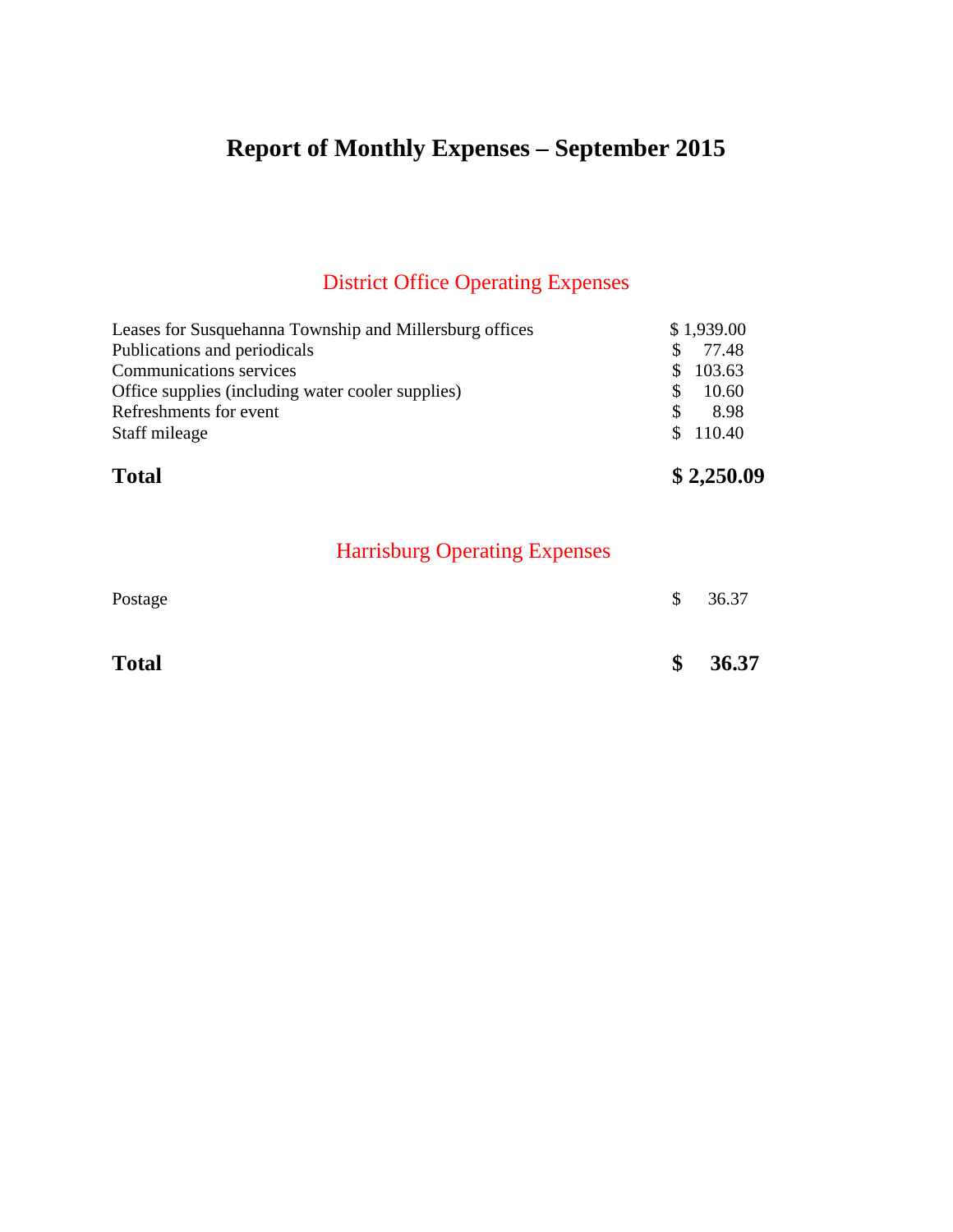# **Report of Monthly Expenses – September 2015**

## District Office Operating Expenses

| <b>Total</b>                                            | \$2,250.09   |
|---------------------------------------------------------|--------------|
| Staff mileage                                           | \$110.40     |
| Refreshments for event                                  | 8.98<br>S    |
| Office supplies (including water cooler supplies)       | 10.60<br>S   |
| <b>Communications services</b>                          | 103.63<br>S. |
| Publications and periodicals                            | 77.48<br>S   |
| Leases for Susquehanna Township and Millersburg offices | \$1,939.00   |

| Postage      | $\mathbb{S}$  | 36.37 |
|--------------|---------------|-------|
| <b>Total</b> | $\frac{1}{2}$ | 36.37 |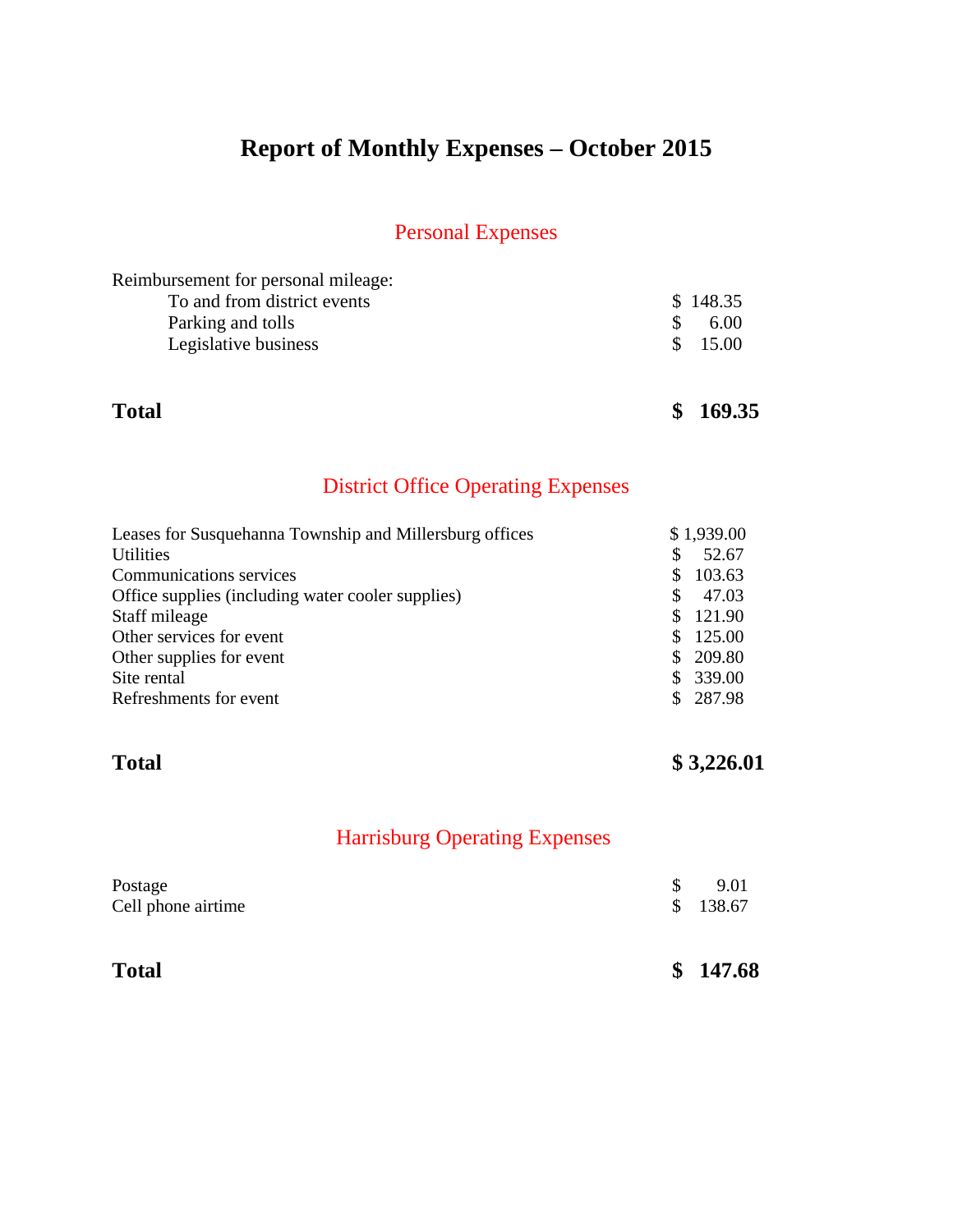# **Report of Monthly Expenses – October 2015**

## Personal Expenses

| Reimbursement for personal mileage: |          |
|-------------------------------------|----------|
| To and from district events         | \$148.35 |
| Parking and tolls                   | 6.00     |
| Legislative business                | \$ 15.00 |
|                                     |          |

**Total \$ 169.35**

## District Office Operating Expenses

| Leases for Susquehanna Township and Millersburg offices |     | \$1,939.00 |
|---------------------------------------------------------|-----|------------|
| <b>Utilities</b>                                        | \$. | 52.67      |
| Communications services                                 | S.  | 103.63     |
| Office supplies (including water cooler supplies)       | S.  | 47.03      |
| Staff mileage                                           | S.  | 121.90     |
| Other services for event                                | S.  | 125.00     |
| Other supplies for event                                |     | \$209.80   |
| Site rental                                             |     | \$339.00   |
| Refreshments for event                                  |     | \$287.98   |

## **Total \$ 3,226.01**

| <b>Total</b>                  |     | \$147.68         |
|-------------------------------|-----|------------------|
| Postage<br>Cell phone airtime | \$. | 9.01<br>\$138.67 |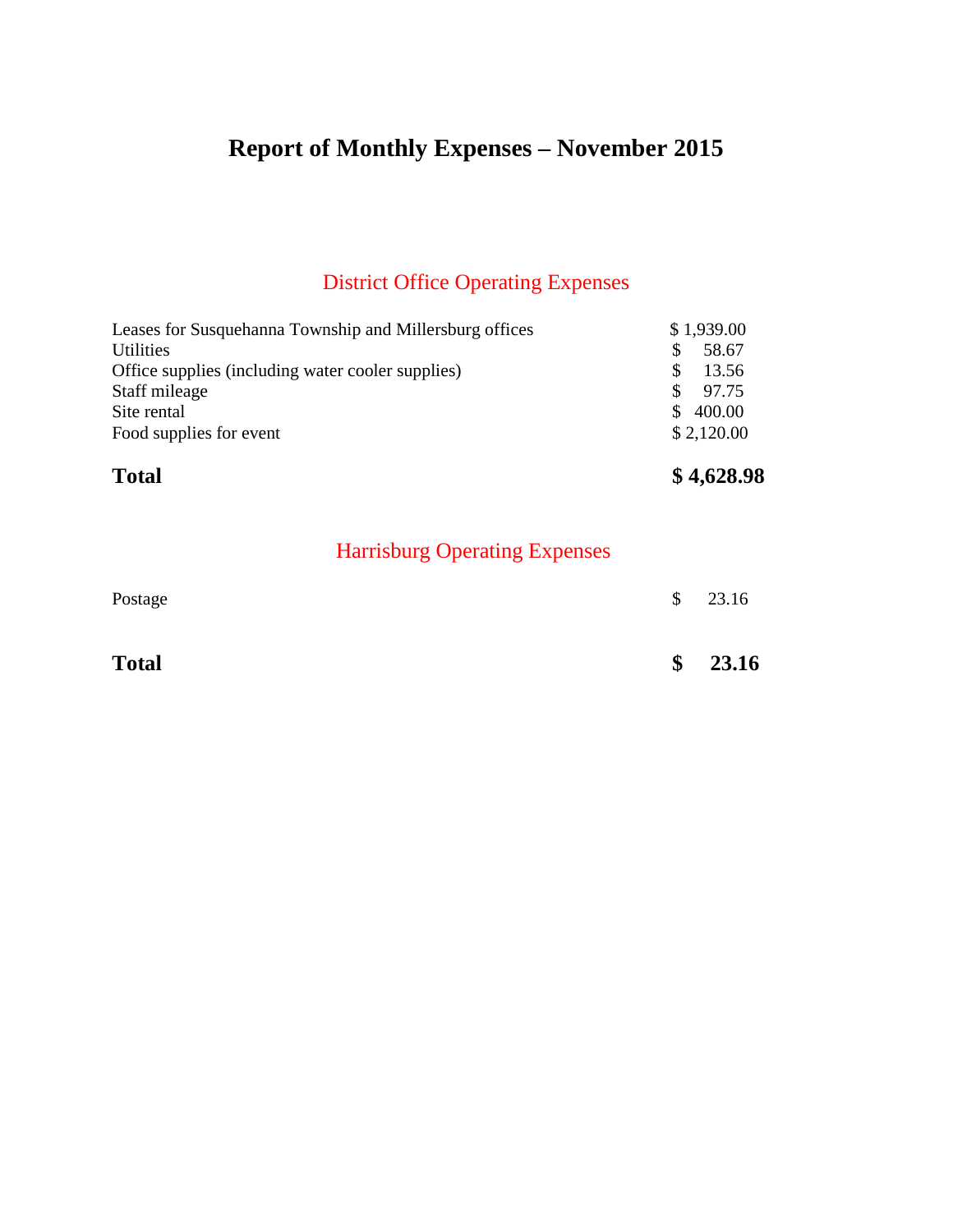# **Report of Monthly Expenses – November 2015**

## District Office Operating Expenses

| <b>Total</b>                                            | \$4,628.98    |
|---------------------------------------------------------|---------------|
| Food supplies for event                                 | \$2,120.00    |
| Site rental                                             | 400.00<br>SS. |
| Staff mileage                                           | 97.75<br>S.   |
| Office supplies (including water cooler supplies)       | 13.56         |
| <b>Utilities</b>                                        | 58.67<br>S    |
| Leases for Susquehanna Township and Millersburg offices | \$1,939.00    |

| Postage      | $\mathcal{S}$ | 23.16    |
|--------------|---------------|----------|
| <b>Total</b> |               | \$ 23.16 |